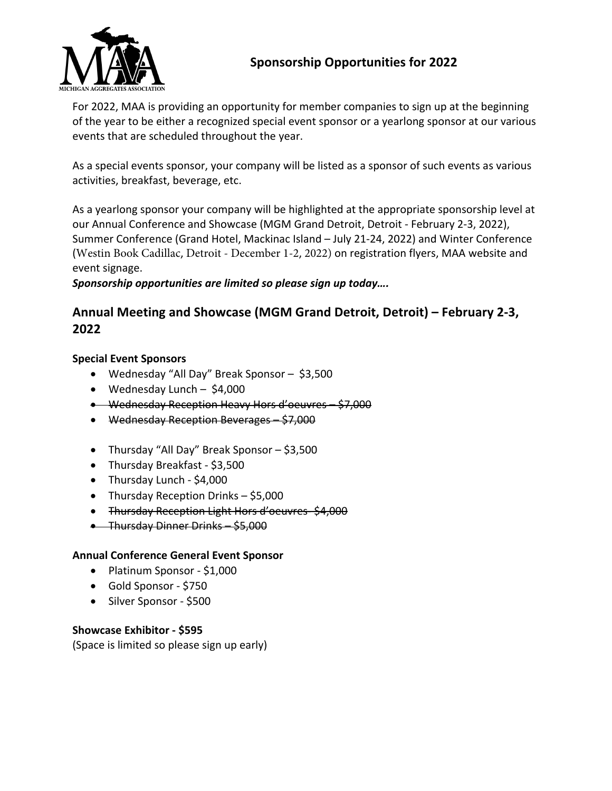

## **Sponsorship Opportunities for 2022**

For 2022, MAA is providing an opportunity for member companies to sign up at the beginning of the year to be either a recognized special event sponsor or a yearlong sponsor at our various events that are scheduled throughout the year.

As a special events sponsor, your company will be listed as a sponsor of such events as various activities, breakfast, beverage, etc.

As a yearlong sponsor your company will be highlighted at the appropriate sponsorship level at our Annual Conference and Showcase (MGM Grand Detroit, Detroit - February 2-3, 2022), Summer Conference (Grand Hotel, Mackinac Island – July 21-24, 2022) and Winter Conference (Westin Book Cadillac, Detroit - December 1-2, 2022) on registration flyers, MAA website and event signage.

*Sponsorship opportunities are limited so please sign up today….* 

## **Annual Meeting and Showcase (MGM Grand Detroit, Detroit) – February 2-3, 2022**

#### **Special Event Sponsors**

- Wednesday "All Day" Break Sponsor \$3,500
- Wednesday Lunch \$4,000
- Wednesday Reception Heavy Hors d'oeuvres \$7,000
- Wednesday Reception Beverages \$7,000
- Thursday "All Day" Break Sponsor \$3,500
- Thursday Breakfast \$3,500
- Thursday Lunch \$4,000
- Thursday Reception Drinks \$5,000
- Thursday Reception Light Hors d'oeuvres- \$4,000
- Thursday Dinner Drinks \$5,000

#### **Annual Conference General Event Sponsor**

- Platinum Sponsor \$1,000
- Gold Sponsor \$750
- Silver Sponsor \$500

#### **Showcase Exhibitor - \$595**

(Space is limited so please sign up early)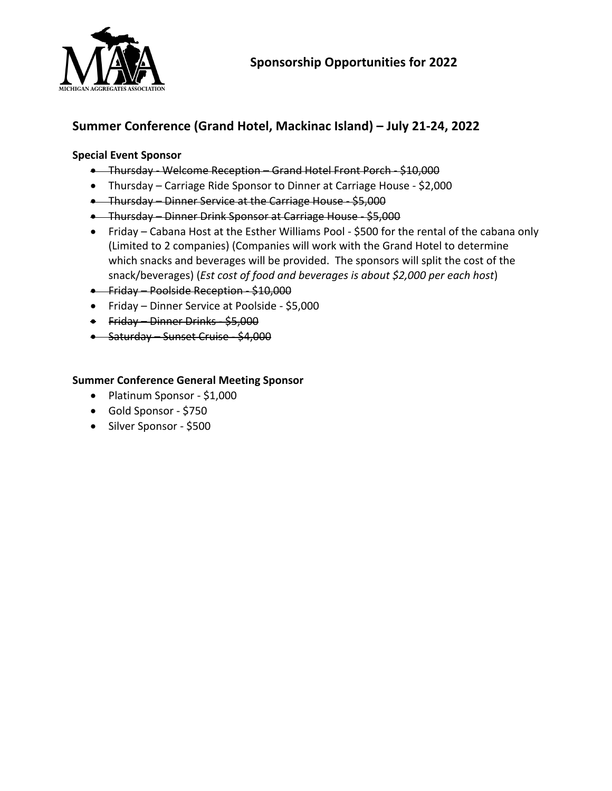

# **Summer Conference (Grand Hotel, Mackinac Island) – July 21-24, 2022**

#### **Special Event Sponsor**

- Thursday Welcome Reception Grand Hotel Front Porch \$10,000
- Thursday Carriage Ride Sponsor to Dinner at Carriage House \$2,000
- Thursday Dinner Service at the Carriage House \$5,000
- Thursday Dinner Drink Sponsor at Carriage House \$5,000
- Friday Cabana Host at the Esther Williams Pool \$500 for the rental of the cabana only (Limited to 2 companies) (Companies will work with the Grand Hotel to determine which snacks and beverages will be provided. The sponsors will split the cost of the snack/beverages) (*Est cost of food and beverages is about \$2,000 per each host*)
- Friday Poolside Reception \$10,000
- Friday Dinner Service at Poolside \$5,000
- Friday Dinner Drinks \$5,000
- Saturday Sunset Cruise \$4,000

#### **Summer Conference General Meeting Sponsor**

- Platinum Sponsor \$1,000
- Gold Sponsor \$750
- Silver Sponsor \$500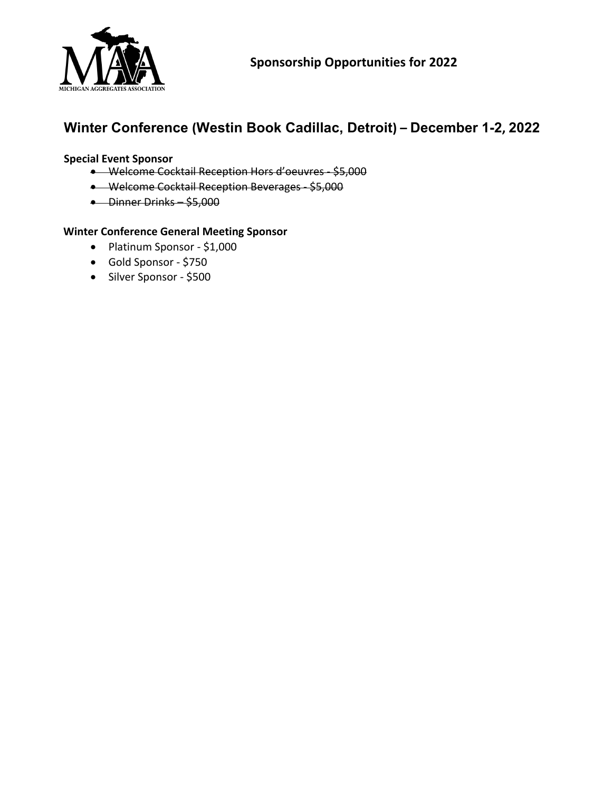

# **Winter Conference (Westin Book Cadillac, Detroit) – December 1-2, 2022**

#### **Special Event Sponsor**

- Welcome Cocktail Reception Hors d'oeuvres \$5,000
- Welcome Cocktail Reception Beverages \$5,000
- Dinner Drinks \$5,000

#### **Winter Conference General Meeting Sponsor**

- Platinum Sponsor \$1,000
- Gold Sponsor \$750
- Silver Sponsor \$500